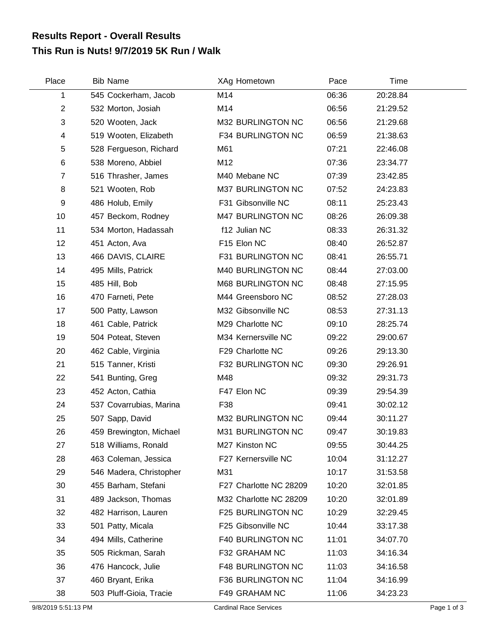## **This Run is Nuts! 9/7/2019 5K Run / Walk Results Report - Overall Results**

| Place                   | <b>Bib Name</b>         | XAg Hometown           | Pace  | Time     |  |
|-------------------------|-------------------------|------------------------|-------|----------|--|
| 1                       | 545 Cockerham, Jacob    | M14                    | 06:36 | 20:28.84 |  |
| $\overline{c}$          | 532 Morton, Josiah      | M14                    | 06:56 | 21:29.52 |  |
| 3                       | 520 Wooten, Jack        | M32 BURLINGTON NC      | 06:56 | 21:29.68 |  |
| $\overline{\mathbf{4}}$ | 519 Wooten, Elizabeth   | F34 BURLINGTON NC      | 06:59 | 21:38.63 |  |
| 5                       | 528 Fergueson, Richard  | M61                    | 07:21 | 22:46.08 |  |
| 6                       | 538 Moreno, Abbiel      | M12                    | 07:36 | 23:34.77 |  |
| $\overline{7}$          | 516 Thrasher, James     | M40 Mebane NC          | 07:39 | 23:42.85 |  |
| 8                       | 521 Wooten, Rob         | M37 BURLINGTON NC      | 07:52 | 24:23.83 |  |
| 9                       | 486 Holub, Emily        | F31 Gibsonville NC     | 08:11 | 25:23.43 |  |
| 10                      | 457 Beckom, Rodney      | M47 BURLINGTON NC      | 08:26 | 26:09.38 |  |
| 11                      | 534 Morton, Hadassah    | f12 Julian NC          | 08:33 | 26:31.32 |  |
| 12                      | 451 Acton, Ava          | F15 Elon NC            | 08:40 | 26:52.87 |  |
| 13                      | 466 DAVIS, CLAIRE       | F31 BURLINGTON NC      | 08:41 | 26:55.71 |  |
| 14                      | 495 Mills, Patrick      | M40 BURLINGTON NC      | 08:44 | 27:03.00 |  |
| 15                      | 485 Hill, Bob           | M68 BURLINGTON NC      | 08:48 | 27:15.95 |  |
| 16                      | 470 Farneti, Pete       | M44 Greensboro NC      | 08:52 | 27:28.03 |  |
| 17                      | 500 Patty, Lawson       | M32 Gibsonville NC     | 08:53 | 27:31.13 |  |
| 18                      | 461 Cable, Patrick      | M29 Charlotte NC       | 09:10 | 28:25.74 |  |
| 19                      | 504 Poteat, Steven      | M34 Kernersville NC    | 09:22 | 29:00.67 |  |
| 20                      | 462 Cable, Virginia     | F29 Charlotte NC       | 09:26 | 29:13.30 |  |
| 21                      | 515 Tanner, Kristi      | F32 BURLINGTON NC      | 09:30 | 29:26.91 |  |
| 22                      | 541 Bunting, Greg       | M48                    | 09:32 | 29:31.73 |  |
| 23                      | 452 Acton, Cathia       | F47 Elon NC            | 09:39 | 29:54.39 |  |
| 24                      | 537 Covarrubias, Marina | F38                    | 09:41 | 30:02.12 |  |
| 25                      | 507 Sapp, David         | M32 BURLINGTON NC      | 09:44 | 30:11.27 |  |
| 26                      | 459 Brewington, Michael | M31 BURLINGTON NC      | 09:47 | 30:19.83 |  |
| 27                      | 518 Williams, Ronald    | M27 Kinston NC         | 09:55 | 30:44.25 |  |
| 28                      | 463 Coleman, Jessica    | F27 Kernersville NC    | 10:04 | 31:12.27 |  |
| 29                      | 546 Madera, Christopher | M31                    | 10:17 | 31:53.58 |  |
| 30                      | 455 Barham, Stefani     | F27 Charlotte NC 28209 | 10:20 | 32:01.85 |  |
| 31                      | 489 Jackson, Thomas     | M32 Charlotte NC 28209 | 10:20 | 32:01.89 |  |
| 32                      | 482 Harrison, Lauren    | F25 BURLINGTON NC      | 10:29 | 32:29.45 |  |
| 33                      | 501 Patty, Micala       | F25 Gibsonville NC     | 10:44 | 33:17.38 |  |
| 34                      | 494 Mills, Catherine    | F40 BURLINGTON NC      | 11:01 | 34:07.70 |  |
| 35                      | 505 Rickman, Sarah      | F32 GRAHAM NC          | 11:03 | 34:16.34 |  |
| 36                      | 476 Hancock, Julie      | F48 BURLINGTON NC      | 11:03 | 34:16.58 |  |
| 37                      | 460 Bryant, Erika       | F36 BURLINGTON NC      | 11:04 | 34:16.99 |  |
| 38                      | 503 Pluff-Gioia, Tracie | F49 GRAHAM NC          | 11:06 | 34:23.23 |  |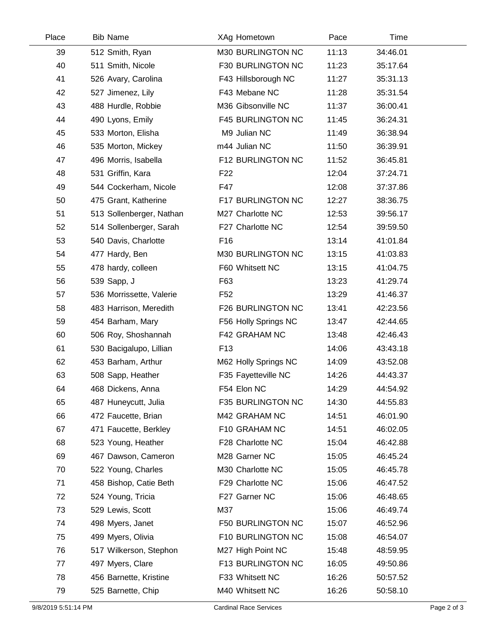| Place | <b>Bib Name</b>          | XAg Hometown             | Pace  | Time     |  |
|-------|--------------------------|--------------------------|-------|----------|--|
| 39    | 512 Smith, Ryan          | M30 BURLINGTON NC        | 11:13 | 34:46.01 |  |
| 40    | 511 Smith, Nicole        | F30 BURLINGTON NC        | 11:23 | 35:17.64 |  |
| 41    | 526 Avary, Carolina      | F43 Hillsborough NC      | 11:27 | 35:31.13 |  |
| 42    | 527 Jimenez, Lily        | F43 Mebane NC            | 11:28 | 35:31.54 |  |
| 43    | 488 Hurdle, Robbie       | M36 Gibsonville NC       | 11:37 | 36:00.41 |  |
| 44    | 490 Lyons, Emily         | <b>F45 BURLINGTON NC</b> | 11:45 | 36:24.31 |  |
| 45    | 533 Morton, Elisha       | M9 Julian NC             | 11:49 | 36:38.94 |  |
| 46    | 535 Morton, Mickey       | m44 Julian NC            | 11:50 | 36:39.91 |  |
| 47    | 496 Morris, Isabella     | F12 BURLINGTON NC        | 11:52 | 36:45.81 |  |
| 48    | 531 Griffin, Kara        | F <sub>22</sub>          | 12:04 | 37:24.71 |  |
| 49    | 544 Cockerham, Nicole    | F47                      | 12:08 | 37:37.86 |  |
| 50    | 475 Grant, Katherine     | F17 BURLINGTON NC        | 12:27 | 38:36.75 |  |
| 51    | 513 Sollenberger, Nathan | M27 Charlotte NC         | 12:53 | 39:56.17 |  |
| 52    | 514 Sollenberger, Sarah  | F27 Charlotte NC         | 12:54 | 39:59.50 |  |
| 53    | 540 Davis, Charlotte     | F <sub>16</sub>          | 13:14 | 41:01.84 |  |
| 54    | 477 Hardy, Ben           | M30 BURLINGTON NC        | 13:15 | 41:03.83 |  |
| 55    | 478 hardy, colleen       | F60 Whitsett NC          | 13:15 | 41:04.75 |  |
| 56    | 539 Sapp, J              | F63                      | 13:23 | 41:29.74 |  |
| 57    | 536 Morrissette, Valerie | F52                      | 13:29 | 41:46.37 |  |
| 58    | 483 Harrison, Meredith   | F26 BURLINGTON NC        | 13:41 | 42:23.56 |  |
| 59    | 454 Barham, Mary         | F56 Holly Springs NC     | 13:47 | 42:44.65 |  |
| 60    | 506 Roy, Shoshannah      | F42 GRAHAM NC            | 13:48 | 42:46.43 |  |
| 61    | 530 Bacigalupo, Lillian  | F <sub>13</sub>          | 14:06 | 43:43.18 |  |
| 62    | 453 Barham, Arthur       | M62 Holly Springs NC     | 14:09 | 43:52.08 |  |
| 63    | 508 Sapp, Heather        | F35 Fayetteville NC      | 14:26 | 44:43.37 |  |
| 64    | 468 Dickens, Anna        | F54 Elon NC              | 14:29 | 44:54.92 |  |
| 65    | 487 Huneycutt, Julia     | F35 BURLINGTON NC        | 14:30 | 44:55.83 |  |
| 66    | 472 Faucette, Brian      | M42 GRAHAM NC            | 14:51 | 46:01.90 |  |
| 67    | 471 Faucette, Berkley    | F10 GRAHAM NC            | 14:51 | 46:02.05 |  |
| 68    | 523 Young, Heather       | F28 Charlotte NC         | 15:04 | 46:42.88 |  |
| 69    | 467 Dawson, Cameron      | M28 Garner NC            | 15:05 | 46:45.24 |  |
| 70    | 522 Young, Charles       | M30 Charlotte NC         | 15:05 | 46:45.78 |  |
| 71    | 458 Bishop, Catie Beth   | F29 Charlotte NC         | 15:06 | 46:47.52 |  |
| 72    | 524 Young, Tricia        | F27 Garner NC            | 15:06 | 46:48.65 |  |
| 73    | 529 Lewis, Scott         | M37                      | 15:06 | 46:49.74 |  |
| 74    | 498 Myers, Janet         | F50 BURLINGTON NC        | 15:07 | 46:52.96 |  |
| 75    | 499 Myers, Olivia        | F10 BURLINGTON NC        | 15:08 | 46:54.07 |  |
| 76    | 517 Wilkerson, Stephon   | M27 High Point NC        | 15:48 | 48:59.95 |  |
| 77    | 497 Myers, Clare         | F13 BURLINGTON NC        | 16:05 | 49:50.86 |  |
| 78    | 456 Barnette, Kristine   | F33 Whitsett NC          | 16:26 | 50:57.52 |  |
| 79    | 525 Barnette, Chip       | M40 Whitsett NC          | 16:26 | 50:58.10 |  |